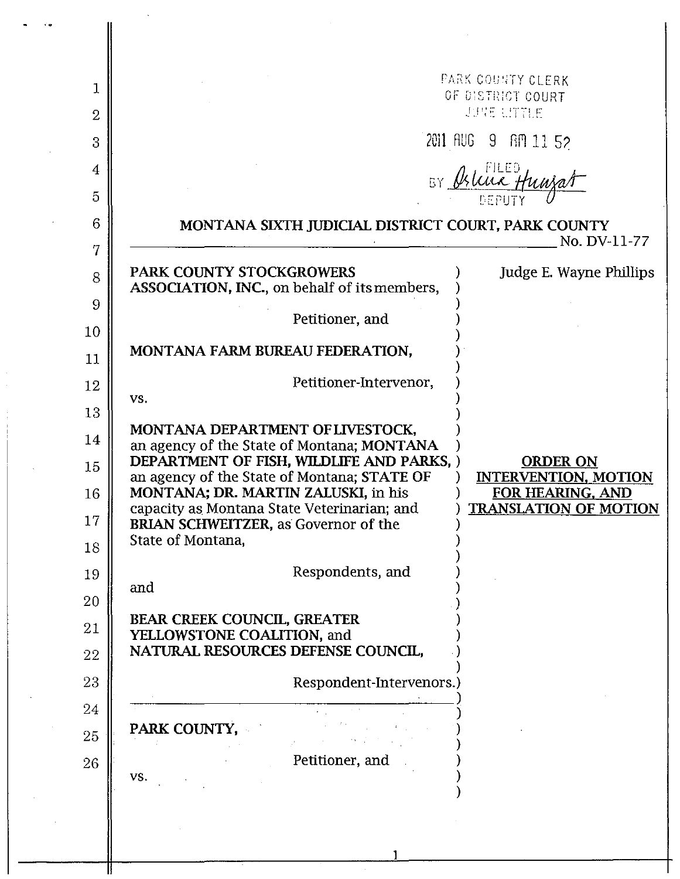|                                                                    | PARK COUNTY CLERK<br>OF DISTRICT COURT                                                                                                                                                                                                                                                                                                                                                                                                        |                                                 |
|--------------------------------------------------------------------|-----------------------------------------------------------------------------------------------------------------------------------------------------------------------------------------------------------------------------------------------------------------------------------------------------------------------------------------------------------------------------------------------------------------------------------------------|-------------------------------------------------|
|                                                                    | JUNE LITTLE                                                                                                                                                                                                                                                                                                                                                                                                                                   |                                                 |
|                                                                    |                                                                                                                                                                                                                                                                                                                                                                                                                                               | 2011 AUG 9 AM 11 52                             |
|                                                                    | BY Oslive Hunza                                                                                                                                                                                                                                                                                                                                                                                                                               |                                                 |
|                                                                    |                                                                                                                                                                                                                                                                                                                                                                                                                                               |                                                 |
| MONTANA SIXTH JUDICIAL DISTRICT COURT, PARK COUNTY<br>No. DV-11-77 |                                                                                                                                                                                                                                                                                                                                                                                                                                               |                                                 |
|                                                                    | PARK COUNTY STOCKGROWERS                                                                                                                                                                                                                                                                                                                                                                                                                      | Judge E. Wayne Phillips                         |
|                                                                    | ASSOCIATION, INC., on behalf of its members,                                                                                                                                                                                                                                                                                                                                                                                                  |                                                 |
|                                                                    | Petitioner, and                                                                                                                                                                                                                                                                                                                                                                                                                               |                                                 |
|                                                                    | MONTANA FARM BUREAU FEDERATION,                                                                                                                                                                                                                                                                                                                                                                                                               |                                                 |
|                                                                    | Petitioner-Intervenor,                                                                                                                                                                                                                                                                                                                                                                                                                        |                                                 |
|                                                                    | VS.                                                                                                                                                                                                                                                                                                                                                                                                                                           |                                                 |
|                                                                    | MONTANA DEPARTMENT OF LIVESTOCK,<br>an agency of the State of Montana; MONTANA                                                                                                                                                                                                                                                                                                                                                                |                                                 |
|                                                                    | DEPARTMENT OF FISH, WILDLIFE AND PARKS, )                                                                                                                                                                                                                                                                                                                                                                                                     | <b>ORDER ON</b>                                 |
|                                                                    | an agency of the State of Montana; STATE OF<br>MONTANA; DR. MARTIN ZALUSKI, in his                                                                                                                                                                                                                                                                                                                                                            | <b>INTERVENTION, MOTION</b><br>FOR HEARING, AND |
|                                                                    | capacity as Montana State Veterinarian; and<br><b>BRIAN SCHWEITZER, as Governor of the</b>                                                                                                                                                                                                                                                                                                                                                    | <b>TRANSLATION OF MOTION</b>                    |
|                                                                    | State of Montana,                                                                                                                                                                                                                                                                                                                                                                                                                             |                                                 |
|                                                                    | Respondents, and<br>and                                                                                                                                                                                                                                                                                                                                                                                                                       |                                                 |
|                                                                    |                                                                                                                                                                                                                                                                                                                                                                                                                                               |                                                 |
|                                                                    | BEAR CREEK COUNCIL, GREATER<br>YELLOWSTONE COALITION, and                                                                                                                                                                                                                                                                                                                                                                                     |                                                 |
|                                                                    | NATURAL RESOURCES DEFENSE COUNCIL,                                                                                                                                                                                                                                                                                                                                                                                                            |                                                 |
|                                                                    | Respondent-Intervenors.)                                                                                                                                                                                                                                                                                                                                                                                                                      |                                                 |
|                                                                    | $\label{eq:2.1} \frac{1}{2} \int_{\mathbb{R}^3} \left[ \frac{1}{2} \left( \frac{1}{2} \right) \frac{1}{2} \left( \frac{1}{2} \right) \frac{1}{2} \right] \, d\mathbf{x} \, d\mathbf{x} \, d\mathbf{x} \, d\mathbf{x} \, d\mathbf{x} \, d\mathbf{x} \, d\mathbf{x} \, d\mathbf{x} \, d\mathbf{x} \, d\mathbf{x} \, d\mathbf{x} \, d\mathbf{x} \, d\mathbf{x} \, d\mathbf{x} \, d\mathbf{x} \, d\mathbf{x} \, d\mathbf{x} \, d$<br>PARK COUNTY, |                                                 |
|                                                                    |                                                                                                                                                                                                                                                                                                                                                                                                                                               |                                                 |
|                                                                    | Petitioner, and<br>VS.                                                                                                                                                                                                                                                                                                                                                                                                                        |                                                 |
|                                                                    |                                                                                                                                                                                                                                                                                                                                                                                                                                               |                                                 |

1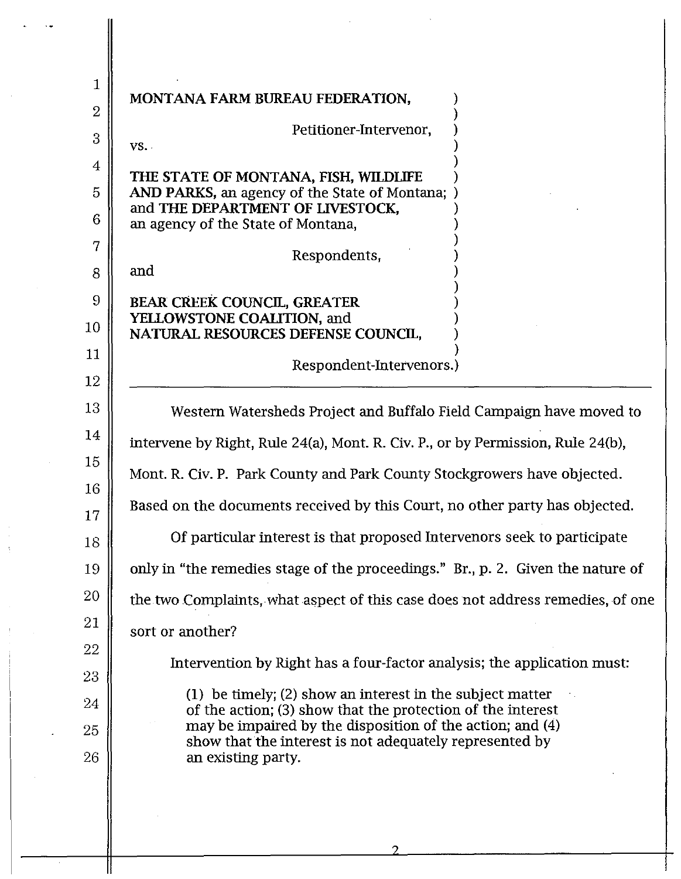| $\mathbf{1}$   |                                                                                                                          |  |  |
|----------------|--------------------------------------------------------------------------------------------------------------------------|--|--|
| $\overline{2}$ | MONTANA FARM BUREAU FEDERATION,                                                                                          |  |  |
| 3              | Petitioner-Intervenor,<br>VS.                                                                                            |  |  |
| 4              |                                                                                                                          |  |  |
| 5              | THE STATE OF MONTANA, FISH, WILDLIFE<br>AND PARKS, an agency of the State of Montana;                                    |  |  |
| 6              | and THE DEPARTMENT OF LIVESTOCK,<br>an agency of the State of Montana,                                                   |  |  |
| 7              | Respondents,                                                                                                             |  |  |
| 8              | and                                                                                                                      |  |  |
| 9              | <b>BEAR CREEK COUNCIL, GREATER</b>                                                                                       |  |  |
| 10             | YELLOWSTONE COALITION, and<br>NATURAL RESOURCES DEFENSE COUNCIL.                                                         |  |  |
| 11             | Respondent-Intervenors.)                                                                                                 |  |  |
| 12             |                                                                                                                          |  |  |
| 13             | Western Watersheds Project and Buffalo Field Campaign have moved to                                                      |  |  |
| 14             | intervene by Right, Rule 24(a), Mont. R. Civ. P., or by Permission, Rule 24(b),                                          |  |  |
| 15<br>16       | Mont. R. Civ. P. Park County and Park County Stockgrowers have objected.                                                 |  |  |
| 17             | Based on the documents received by this Court, no other party has objected.                                              |  |  |
| 18             | Of particular interest is that proposed Intervenors seek to participate                                                  |  |  |
| 19             | only in "the remedies stage of the proceedings." Br., p. 2. Given the nature of                                          |  |  |
| 20             | the two Complaints, what aspect of this case does not address remedies, of one                                           |  |  |
| 21             | sort or another?                                                                                                         |  |  |
| 22             | Intervention by Right has a four-factor analysis; the application must:                                                  |  |  |
| 23             |                                                                                                                          |  |  |
| 24             | (1) be timely; (2) show an interest in the subject matter<br>of the action; (3) show that the protection of the interest |  |  |
| 25             | may be impaired by the disposition of the action; and $(4)$<br>show that the interest is not adequately represented by   |  |  |
| 26             | an existing party.                                                                                                       |  |  |
|                |                                                                                                                          |  |  |

 $\sim$ 

 $\hat{\boldsymbol{\theta}}$ 

 $\blacksquare$ 

 $\frac{1}{2}$ 

 $\label{eq:2.1} \frac{1}{\sqrt{2}}\sum_{i=1}^n\frac{1}{\sqrt{2}}\sum_{i=1}^n\frac{1}{\sqrt{2}}\sum_{i=1}^n\frac{1}{\sqrt{2}}\sum_{i=1}^n\frac{1}{\sqrt{2}}\sum_{i=1}^n\frac{1}{\sqrt{2}}\sum_{i=1}^n\frac{1}{\sqrt{2}}\sum_{i=1}^n\frac{1}{\sqrt{2}}\sum_{i=1}^n\frac{1}{\sqrt{2}}\sum_{i=1}^n\frac{1}{\sqrt{2}}\sum_{i=1}^n\frac{1}{\sqrt{2}}\sum_{i=1}^n\frac$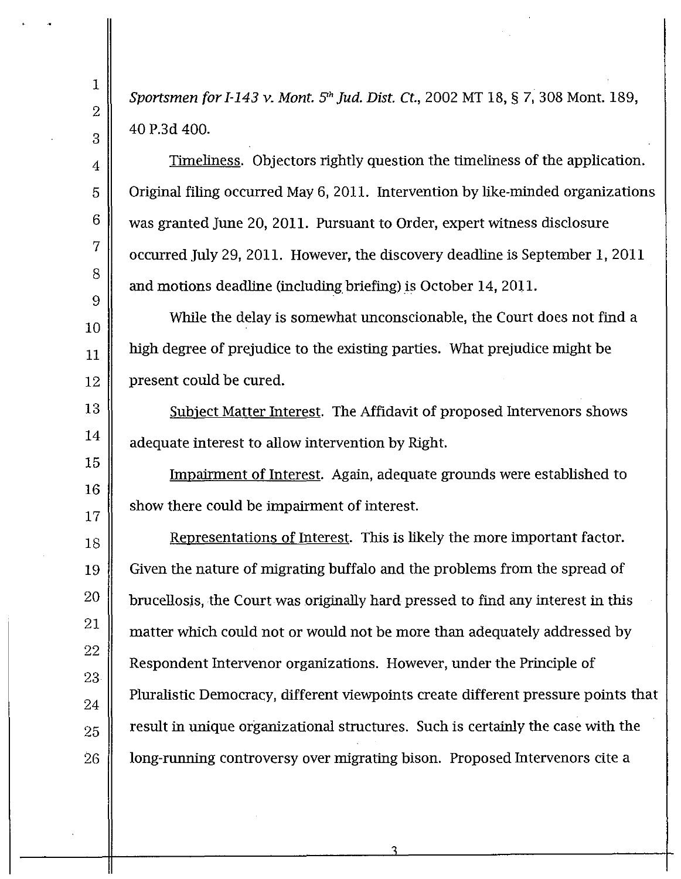*Sportsmen for* 1-143 v. *Mont. 5'h Jud. Dist. Ct.,* 2002 MT 18, § 7,308 Mont. 189, 40 P.3d 400.

1

2

3

4

5

6

7

8

9

13

14

15

16

17

Timeliness. Objectors rightly question the timeliness of the application. Original filing occurred May 6, 2011. Intervention by like-minded organizations was granted June 20, 2011. Pursuant to Order, expert witness disclosure occurred July 29,2011. However, the discovery deadline is September I, 2011 and motions deadline (including briefing) is October 14, 2011.

10 11 12 While the delay is somewhat unconscionable, the Court does not find a high degree of prejudice to the existing parties. What prejudice might be present could be cured.

Subject Matter Interest. The Affidavit of proposed Intervenors shows adequate interest to allow intervention by Right.

Impairment of Interest. Again, adequate grounds were established to show there could be impairment of interest.

18 19 20 21 22 23 24 25 26 Representations of Interest. This is likely the more important factor. Given the nature of migrating buffalo and the problems from the spread of brucellosis, the Courtwas originally hard pressed to find any interest in this matter which could not or would not be more than adequately addressed by Respondent Intervenor organizations. However, under the Principle of Pluralistic Democracy, different viewpoints create different pressure points that result in unique organizational structures. Such is certainly the case with the long-running controversy over migrating bison. Proposed Intervenors cite a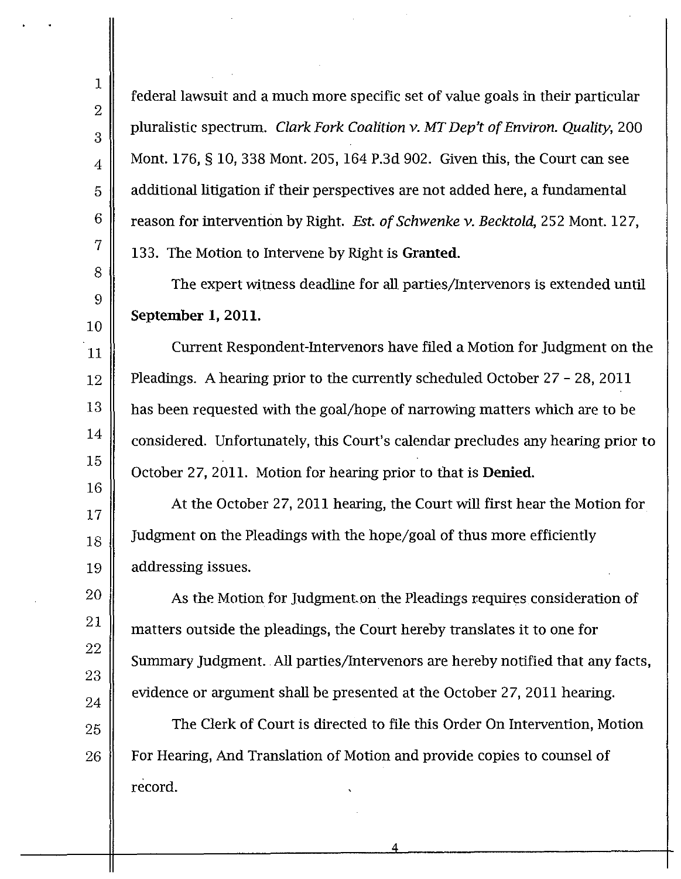21

22

23

24

25

26

federal lawsuit and a much more specific set of value goals in their particular pluralistic spectrum. *Clark Fork Coalition* v. *MT Dep't ofEnviron. Quality, 200* Mont. 176, § 10,338 Mont. 205,164 P.3d 902. Given this, the Court can see additional litigation if their perspectives are not added here, a fundamental reason for intervention by Right. *Est. of Schwenke* v. *Becktold,* 252 Mont. 127, 133. The Motion to Intervene by Right is Granted.

The expert witness deadline for all parties/Intervenors is extended until September 1, 2011.

Current Respondent-Intervenors have filed a Motion for judgment on the Pleadings. A hearing prior to the currently scheduled October 27 - 28, 2011 has been requested with the goal/hope of narrowing matters which are to be considered. Unfortunately, this Court's calendar precludes any hearing prior to October 27, 2011. Motion for hearing prior to that is Denied.

At the October 27,2011 hearing, the Court will first hear the Motion for judgment on the Pleadings with the hope/goal of thus more efficiently addressing issues.

As the Motion for judgment.on the Pleadings requires consideration of matters outside the pleadings, the Court hereby translates it to one for Summary judgment.. All parties/Intervenors are hereby notified that any facts, evidence or argument shall be presented at the October 27,2011 hearing.

The Clerk of Court is directed to file this Order On Intervention, Motion For Hearing, And Translation of Motion and provide copies to counsel of record.